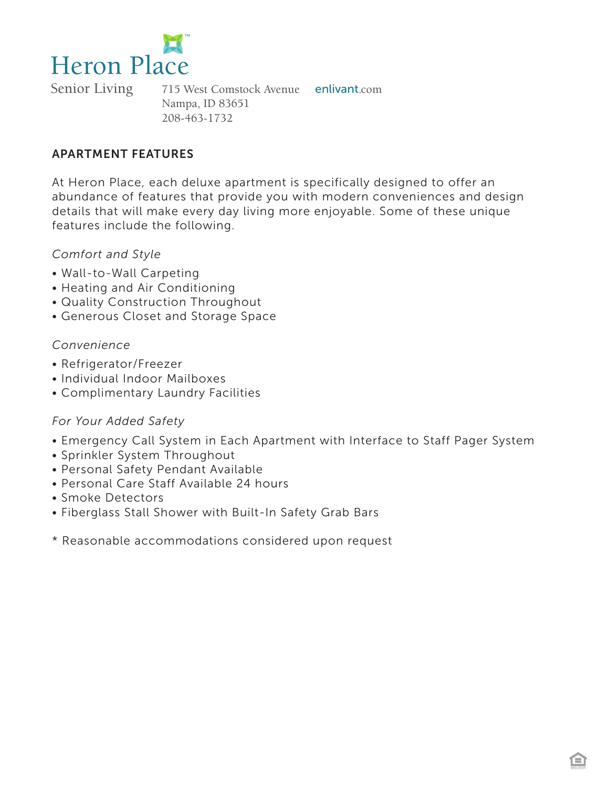

Senior Living 715 West Comstock Avenue enlivant.com Nampa, ID 83651 208-463-1732

#### APARTMENT FEATURES

At Heron Place, each deluxe apartment is specifically designed to offer an abundance of features that provide you with modern conveniences and design details that will make every day living more enjoyable. Some of these unique features include the following.

#### *Comfort and Style*

- Wall-to-Wall Carpeting
- Heating and Air Conditioning
- Quality Construction Throughout
- Generous Closet and Storage Space

#### *Convenience*

- Refrigerator/Freezer
- Individual Indoor Mailboxes
- Complimentary Laundry Facilities

### *For Your Added Safety*

- Emergency Call System in Each Apartment with Interface to Staff Pager System
- Sprinkler System Throughout
- Personal Safety Pendant Available
- Personal Care Staff Available 24 hours
- Smoke Detectors
- Fiberglass Stall Shower with Built-In Safety Grab Bars
- \* Reasonable accommodations considered upon request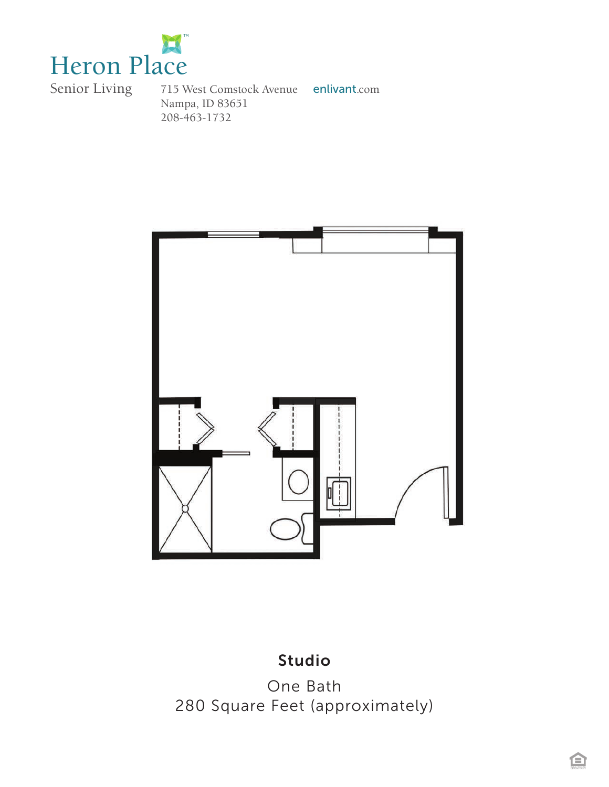

715 West Comstock Avenue enlivant.com Nampa, ID 83651 208-463-1732



## Studio

One Bath 280 Square Feet (approximately)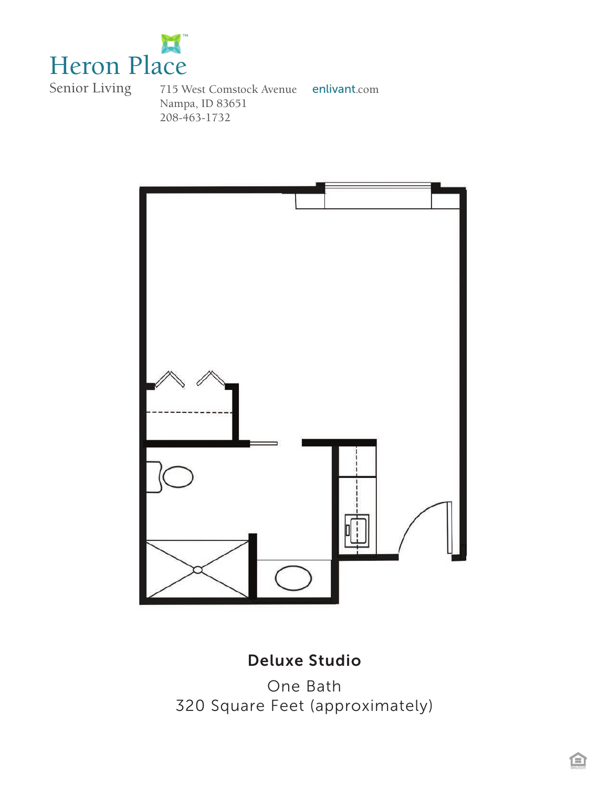

715 West Comstock Avenue enlivant.com Nampa, ID 83651 208-463-1732



# Deluxe Studio

One Bath 320 Square Feet (approximately)